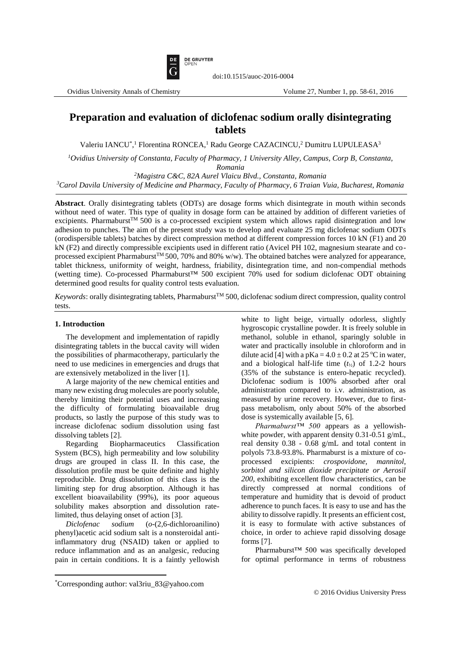

doi:10.1515/auoc-2016-0004

# **Preparation and evaluation of diclofenac sodium orally disintegrating tablets**

Valeriu IANCU<sup>\*</sup>,<sup>1</sup> Florentina RONCEA,<sup>1</sup> Radu George CAZACINCU,<sup>2</sup> Dumitru LUPULEASA<sup>3</sup>

*<sup>1</sup>Ovidius University of Constanta, Faculty of Pharmacy, 1 University Alley, Campus, Corp B, Constanta, Romania*

*<sup>2</sup>Magistra C&C, 82A Aurel Vlaicu Blvd., Constanta, Romania <sup>3</sup>Carol Davila University of Medicine and Pharmacy, Faculty of Pharmacy, 6 Traian Vuia, Bucharest, Romania*

**Abstract**. Orally disintegrating tablets (ODTs) are dosage forms which disintegrate in mouth within seconds without need of water. This type of quality in dosage form can be attained by addition of different varieties of excipients. Pharmaburst<sup>TM</sup> 500 is a co-processed excipient system which allows rapid disintegration and low adhesion to punches. The aim of the present study was to develop and evaluate 25 mg diclofenac sodium ODTs (orodispersible tablets) batches by direct compression method at different compression forces 10 kN (F1) and 20 kN (F2) and directly compressible excipients used in different ratio (Avicel PH 102, magnesium stearate and coprocessed excipient Pharmaburst<sup>TM</sup> 500, 70% and 80% w/w). The obtained batches were analyzed for appearance, tablet thickness, uniformity of weight, hardness, friability, disintegration time, and non-compendial methods (wetting time). Co-processed Pharmaburst™ 500 excipient 70% used for sodium diclofenac ODT obtaining determined good results for quality control tests evaluation.

*Keywords*: orally disintegrating tablets, Pharmaburst<sup>TM</sup> 500, diclofenac sodium direct compression, quality control tests.

### **1. Introduction**

 $\overline{a}$ 

The development and implementation of rapidly disintegrating tablets in the buccal cavity will widen the possibilities of pharmacotherapy, particularly the need to use medicines in emergencies and drugs that are extensively metabolized in the liver [1].

A large majority of the new chemical entities and many new existing drug molecules are poorly soluble, thereby limiting their potential uses and increasing the difficulty of formulating bioavailable drug products, so lastly the purpose of this study was to increase diclofenac sodium dissolution using fast dissolving tablets [2].

Regarding Biopharmaceutics Classification System (BCS), high permeability and low solubility drugs are grouped in class II. In this case, the dissolution profile must be quite definite and highly reproducible. Drug dissolution of this class is the limiting step for drug absorption. Although it has excellent bioavailability (99%), its poor aqueous solubility makes absorption and dissolution ratelimited, thus delaying onset of action [3].

*Diclofenac sodium* (*o*-(2,6-dichloroanilino) phenyl)acetic acid sodium salt is a nonsteroidal antiinflammatory drug (NSAID) taken or applied to reduce inflammation and as an analgesic, reducing pain in certain conditions. It is a faintly yellowish

white to light beige, virtually odorless, slightly hygroscopic crystalline powder. It is freely soluble in methanol, soluble in ethanol, sparingly soluble in water and practically insoluble in chloroform and in dilute acid [4] with a  $pKa = 4.0 \pm 0.2$  at 25 °C in water, and a biological half-life time  $(t_{1/2})$  of 1.2-2 hours (35% of the substance is entero-hepatic recycled). Diclofenac sodium is 100% absorbed after oral administration compared to i.v. administration, as measured by urine recovery. However, due to firstpass metabolism, only about 50% of the absorbed dose is systemically available [5, 6].

*Pharmaburst™ 500* appears as a yellowishwhite powder, with apparent density 0.31-0.51 g/mL, real density 0.38 - 0.68 g/mL and total content in polyols 73.8-93.8%. Pharmaburst is a mixture of coprocessed excipients: *crospovidone, mannitol, sorbitol and silicon dioxide precipitate or Aerosil 200*, exhibiting excellent flow characteristics, can be directly compressed at normal conditions of temperature and humidity that is devoid of product adherence to punch faces. It is easy to use and has the ability to dissolve rapidly. It presents an efficient cost, it is easy to formulate with active substances of choice, in order to achieve rapid dissolving dosage forms [7].

Pharmaburst™ 500 was specifically developed for optimal performance in terms of robustness

<sup>\*</sup>Corresponding author: val3riu\_83@yahoo.com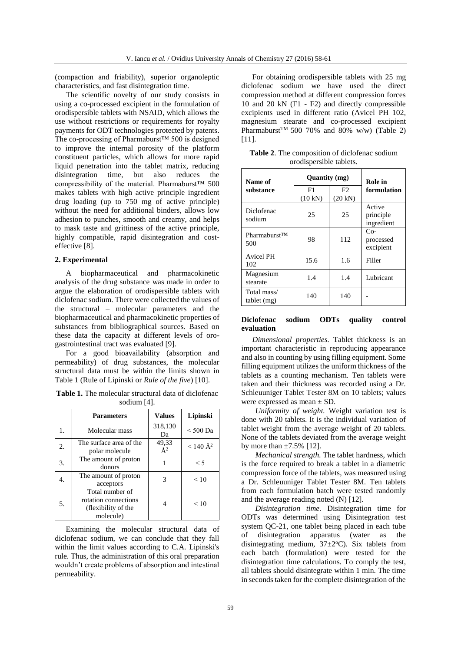(compaction and friability), superior organoleptic characteristics, and fast disintegration time.

The scientific novelty of our study consists in using a co-processed excipient in the formulation of orodispersible tablets with NSAID, which allows the use without restrictions or requirements for royalty payments for ODT technologies protected by patents. The co-processing of Pharmaburst™ 500 is designed to improve the internal porosity of the platform constituent particles, which allows for more rapid liquid penetration into the tablet matrix, reducing disintegration time, but also reduces the compressibility of the material. Pharmaburst™ 500 makes tablets with high active principle ingredient drug loading (up to 750 mg of active principle) without the need for additional binders, allows low adhesion to punches, smooth and creamy, and helps to mask taste and grittiness of the active principle, highly compatible, rapid disintegration and costeffective [8].

## **2. Experimental**

A biopharmaceutical and pharmacokinetic analysis of the drug substance was made in order to argue the elaboration of orodispersible tablets with diclofenac sodium. There were collected the values of the structural – molecular parameters and the biopharmaceutical and pharmacokinetic properties of substances from bibliographical sources. Based on these data the capacity at different levels of orogastrointestinal tract was evaluated [9].

For a good bioavailability (absorption and permeability) of drug substances, the molecular structural data must be within the limits shown in Table 1 (Rule of Lipinski or *Rule of the five*) [10].

**Table 1.** The molecular structural data of diclofenac sodium [4].

|    | <b>Parameters</b>                                                           | <b>Values</b>    | Lipinski            |  |
|----|-----------------------------------------------------------------------------|------------------|---------------------|--|
| 1. | Molecular mass                                                              | 318,130<br>Da    | $< 500$ Da          |  |
| 2. | The surface area of the<br>polar molecule                                   | 49,33<br>$\AA^2$ | $\rm < 140 \AA^{2}$ |  |
| 3. | The amount of proton<br>donors                                              |                  | $\leq$ 5            |  |
|    | The amount of proton<br>acceptors                                           |                  | < 10                |  |
| 5. | Total number of<br>rotation connections<br>(flexibility of the<br>molecule) |                  | < 10                |  |

Examining the molecular structural data of diclofenac sodium, we can conclude that they fall within the limit values according to C.A. Lipinski's rule. Thus, the administration of this oral preparation wouldn't create problems of absorption and intestinal permeability.

For obtaining orodispersible tablets with 25 mg diclofenac sodium we have used the direct compression method at different compression forces 10 and 20 kN (F1 - F2) and directly compressible excipients used in different ratio (Avicel PH 102, magnesium stearate and co-processed excipient Pharmaburst<sup>TM</sup> 500 70% and 80% w/w) (Table 2) [11].

| Table 2. The composition of diclofenac sodium |  |
|-----------------------------------------------|--|
| orodispersible tablets.                       |  |

| Name of                    | Quantity (mg) |                         | Role in                           |  |
|----------------------------|---------------|-------------------------|-----------------------------------|--|
| substance                  | F1<br>(10 kN) | F2<br>$(20 \text{ kN})$ | formulation                       |  |
| Diclofenac<br>sodium       | 25            | 25                      | Active<br>principle<br>ingredient |  |
| Pharmaburst™<br>500        | 98            | 112                     | $Co-$<br>processed<br>excipient   |  |
| Avicel PH<br>102           | 15.6          | 1.6                     | Filler                            |  |
| Magnesium<br>stearate      | 1.4           | 1.4                     | Lubricant                         |  |
| Total mass/<br>tablet (mg) | 140           | 140                     |                                   |  |

# **Diclofenac sodium ODTs quality control evaluation**

*Dimensional properties.* Tablet thickness is an important characteristic in reproducing appearance and also in counting by using filling equipment. Some filling equipment utilizes the uniform thickness of the tablets as a counting mechanism. Ten tablets were taken and their thickness was recorded using a Dr. Schleuuniger Tablet Tester 8M on 10 tablets; values were expressed as mean ± SD.

*Uniformity of weight.* Weight variation test is done with 20 tablets. It is the individual variation of tablet weight from the average weight of 20 tablets. None of the tablets deviated from the average weight by more than  $\pm 7.5\%$  [12].

*Mechanical strength.* The tablet hardness, which is the force required to break a tablet in a diametric compression force of the tablets, was measured using a Dr. Schleuuniger Tablet Tester 8M. Ten tablets from each formulation batch were tested randomly and the average reading noted (N) [12].

*Disintegration time.* Disintegration time for ODTs was determined using Disintegration test system QC-21, one tablet being placed in each tube of disintegration apparatus (water as the disintegrating medium,  $37 \pm 2$ °C). Six tablets from each batch (formulation) were tested for the disintegration time calculations. To comply the test, all tablets should disintegrate within 1 min. The time in seconds taken for the complete disintegration of the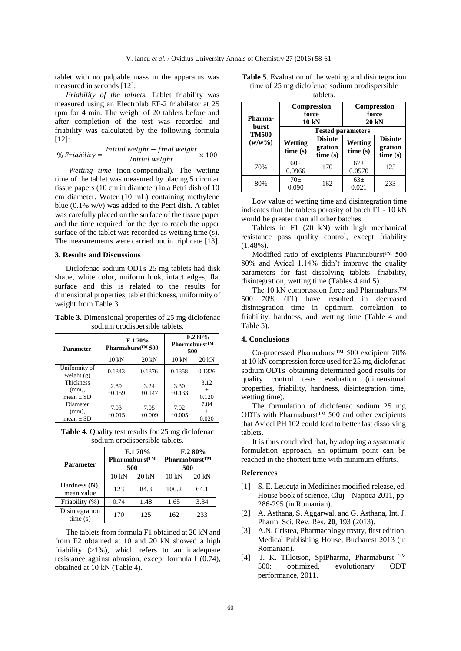tablet with no palpable mass in the apparatus was measured in seconds [12].

*Friability of the tablets.* Tablet friability was measured using an Electrolab EF-2 friabilator at 25 rpm for 4 min. The weight of 20 tablets before and after completion of the test was recorded and friability was calculated by the following formula [12]:

$$
\% Friability = \frac{initial\ weight - final\ weight}{initial\ weight} \times 100
$$

*Wetting time* (non-compendial). The wetting time of the tablet was measured by placing 5 circular tissue papers (10 cm in diameter) in a Petri dish of 10 cm diameter. Water (10 mL) containing methylene blue (0.1% w/v) was added to the Petri dish. A tablet was carefully placed on the surface of the tissue paper and the time required for the dye to reach the upper surface of the tablet was recorded as wetting time (s). The measurements were carried out in triplicate [13].

### **3. Results and Discussions**

Diclofenac sodium ODTs 25 mg tablets had disk shape, white color, uniform look, intact edges, flat surface and this is related to the results for dimensional properties, tablet thickness, uniformity of weight from Table 3.

**Table 3.** Dimensional properties of 25 mg diclofenac sodium orodispersible tablets.

| Parameter                                     |                     | F.170%<br>Pharmaburst <sup>TM</sup><br>Pharmaburst <sup>™</sup> 500<br>500 |                     | F.280%                 |
|-----------------------------------------------|---------------------|----------------------------------------------------------------------------|---------------------|------------------------|
|                                               | $10 \text{ kN}$     | 20 kN                                                                      | $10 \text{ kN}$     | 20 kN                  |
| Uniformity of<br>weight $(g)$                 | 0.1343              | 0.1376                                                                     | 0.1358              | 0.1326                 |
| <b>Thickness</b><br>$(mm)$ ,<br>mean $\pm$ SD | 2.89<br>$\pm 0.159$ | 3.24<br>$\pm 0.147$                                                        | 3.30<br>$\pm 0.133$ | 3.12<br>$\pm$<br>0.120 |
| Diameter<br>$(mm)$ ,<br>mean $\pm$ SD         | 7.03<br>±0.015      | 7.05<br>$\pm 0.009$                                                        | 7.02<br>$\pm 0.005$ | 7.04<br>$\pm$<br>0.020 |

**Table 4**. Quality test results for 25 mg diclofenac sodium orodispersible tablets.

| <b>Parameter</b>            | F.170%<br>Pharmaburst <sup>™</sup><br>500 |       | F.280%<br>Pharmaburst <sup>™</sup><br>500 |       |
|-----------------------------|-------------------------------------------|-------|-------------------------------------------|-------|
|                             | 10 kN                                     | 20 kN | $10 \text{ kN}$                           | 20 kN |
| Hardness (N),<br>mean value | 123                                       | 84.3  | 100.2                                     | 64.1  |
| Friability (%)              | 0.74                                      | 1.48  | 1.65                                      | 3.34  |
| Disintegration<br>time(s)   | 170                                       | 125   | 162                                       | 233   |

The tablets from formula F1 obtained at 20 kN and from F2 obtained at 10 and 20 kN showed a high friability (>1%), which refers to an inadequate resistance against abrasion, except formula I (0.74), obtained at 10 kN (Table 4).

| <b>Table 5.</b> Evaluation of the wetting and disintegration |
|--------------------------------------------------------------|
| time of 25 mg diclofenac sodium orodispersible               |
| toblate                                                      |

| <b>Pharma-</b><br>burst | Compression<br>force<br>10 kN |                                      | Compression<br>force<br>20 kN |                                      |  |
|-------------------------|-------------------------------|--------------------------------------|-------------------------------|--------------------------------------|--|
| <b>TM500</b>            | <b>Tested parameters</b>      |                                      |                               |                                      |  |
| $(w/w\%)$               | <b>Wetting</b><br>time(s)     | <b>Disinte</b><br>gration<br>time(s) | Wetting<br>time(s)            | <b>Disinte</b><br>gration<br>time(s) |  |
| 70%                     | $60\pm$<br>0.0966             | 170                                  | $67\pm$<br>0.0570             | 125                                  |  |
| 80%                     | $70\pm$<br>0.090              | 162                                  | $63\pm$<br>0.021              | 233                                  |  |

Low value of wetting time and disintegration time indicates that the tablets porosity of batch F1 - 10 kN would be greater than all other batches.

Tablets in F1 (20 kN) with high mechanical resistance pass quality control, except friability (1.48%).

Modified ratio of excipients Pharmaburst™ 500 80% and Avicel 1.14% didn't improve the quality parameters for fast dissolving tablets: friability, disintegration, wetting time (Tables 4 and 5).

The 10 kN compression force and Pharmaburst™ 500 70% (F1) have resulted in decreased disintegration time in optimum correlation to friability, hardness, and wetting time (Table 4 and Table 5).

## **4. Conclusions**

Co-processed Pharmaburst™ 500 excipient 70% at 10 kN compression force used for 25 mg diclofenac sodium ODTs obtaining determined good results for quality control tests evaluation (dimensional properties, friability, hardness, disintegration time, wetting time).

The formulation of diclofenac sodium 25 mg ODTs with Pharmaburst™ 500 and other excipients that Avicel PH 102 could lead to better fast dissolving tablets.

It is thus concluded that, by adopting a systematic formulation approach, an optimum point can be reached in the shortest time with minimum efforts.

## **References**

- [1] S. E. Leucuța in Medicines modified release, ed. House book of science, Cluj – Napoca 2011, pp. 286-295 (in Romanian).
- [2] A. Asthana, S. Aggarwal, and G. Asthana, Int. J. Pharm. Sci. Rev. Res. **20**, 193 (2013).
- [3] A.N. Cristea, Pharmacology treaty, first edition, Medical Publishing House, Bucharest 2013 (in Romanian).
- [4] J. K. Tillotson, SpiPharma, Pharmaburst TM 500: optimized, evolutionary ODT performance, 2011.